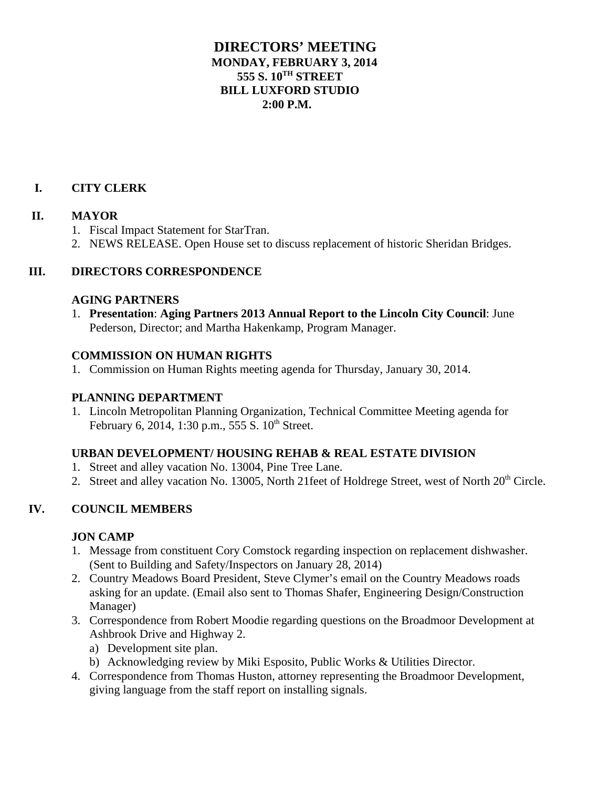# **DIRECTORS' MEETING MONDAY, FEBRUARY 3, 2014 555 S. 10TH STREET BILL LUXFORD STUDIO 2:00 P.M.**

# **I. CITY CLERK**

#### **II. MAYOR**

- 1. Fiscal Impact Statement for StarTran.
- 2. NEWS RELEASE. Open House set to discuss replacement of historic Sheridan Bridges.

#### **III. DIRECTORS CORRESPONDENCE**

#### **AGING PARTNERS**

1. **Presentation**: **Aging Partners 2013 Annual Report to the Lincoln City Council**: June Pederson, Director; and Martha Hakenkamp, Program Manager.

#### **COMMISSION ON HUMAN RIGHTS**

1. Commission on Human Rights meeting agenda for Thursday, January 30, 2014.

#### **PLANNING DEPARTMENT**

1. Lincoln Metropolitan Planning Organization, Technical Committee Meeting agenda for February 6, 2014, 1:30 p.m., 555 S.  $10^{th}$  Street.

#### **URBAN DEVELOPMENT/ HOUSING REHAB & REAL ESTATE DIVISION**

- 1. Street and alley vacation No. 13004, Pine Tree Lane.
- 2. Street and alley vacation No. 13005, North 21feet of Holdrege Street, west of North 20<sup>th</sup> Circle.

## **IV. COUNCIL MEMBERS**

## **JON CAMP**

- 1. Message from constituent Cory Comstock regarding inspection on replacement dishwasher. (Sent to Building and Safety/Inspectors on January 28, 2014)
- 2. Country Meadows Board President, Steve Clymer's email on the Country Meadows roads asking for an update. (Email also sent to Thomas Shafer, Engineering Design/Construction Manager)
- 3. Correspondence from Robert Moodie regarding questions on the Broadmoor Development at Ashbrook Drive and Highway 2.
	- a) Development site plan.
	- b) Acknowledging review by Miki Esposito, Public Works & Utilities Director.
- 4. Correspondence from Thomas Huston, attorney representing the Broadmoor Development, giving language from the staff report on installing signals.